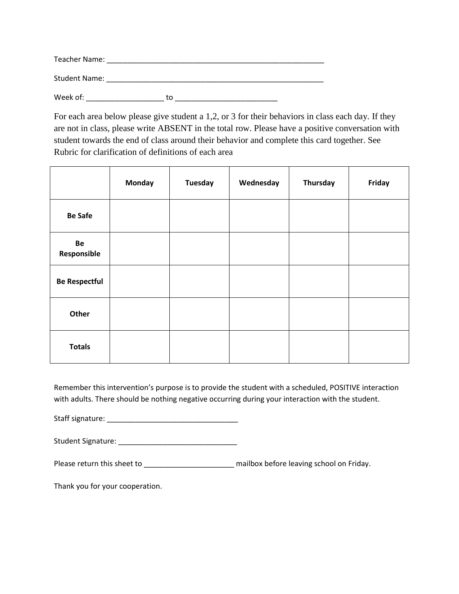| Teacher Name:        |    |  |
|----------------------|----|--|
| <b>Student Name:</b> |    |  |
| Week of:             | tο |  |

For each area below please give student a 1,2, or 3 for their behaviors in class each day. If they are not in class, please write ABSENT in the total row. Please have a positive conversation with student towards the end of class around their behavior and complete this card together. See Rubric for clarification of definitions of each area

|                      | Monday | <b>Tuesday</b> | Wednesday | Thursday | Friday |
|----------------------|--------|----------------|-----------|----------|--------|
| <b>Be Safe</b>       |        |                |           |          |        |
| Be<br>Responsible    |        |                |           |          |        |
| <b>Be Respectful</b> |        |                |           |          |        |
| Other                |        |                |           |          |        |
| <b>Totals</b>        |        |                |           |          |        |

Remember this intervention's purpose is to provide the student with a scheduled, POSITIVE interaction with adults. There should be nothing negative occurring during your interaction with the student.

Staff signature: \_\_\_\_\_\_\_\_\_\_\_\_\_\_\_\_\_\_\_\_\_\_\_\_\_\_\_\_\_\_\_\_

Student Signature: \_\_\_\_\_\_\_\_\_\_\_\_\_\_\_\_\_\_\_\_\_\_\_\_\_\_\_\_\_

Please return this sheet to **which is a constant of the mailbox** before leaving school on Friday.

Thank you for your cooperation.